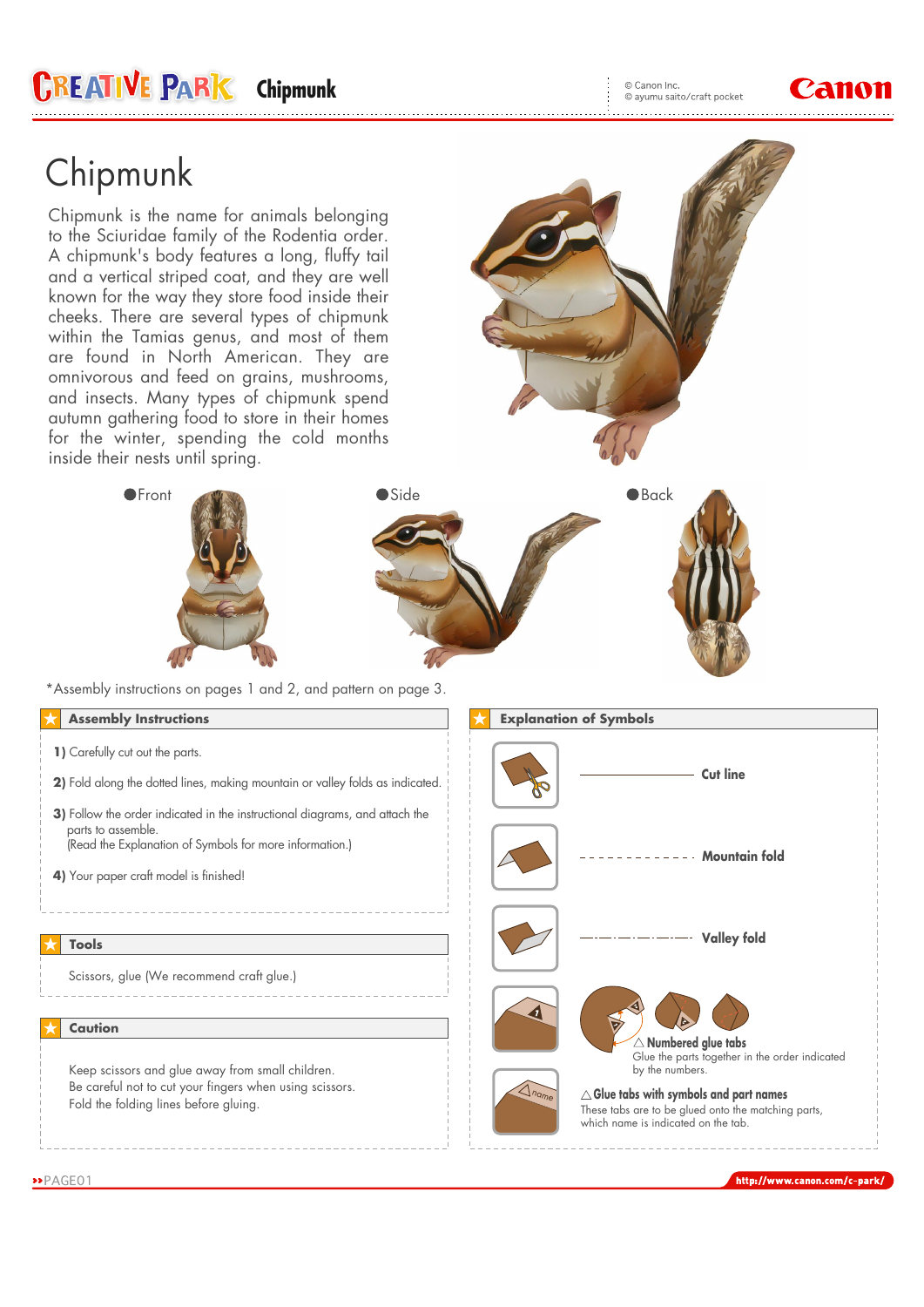© Canon Inc. © canon inc.<br>© ayumu saito/craft pocket



## Chipmunk

Chipmunk is the name for animals belonging to the Sciuridae family of the Rodentia order. A chipmunk's body features a long, fluffy tail and a vertical striped coat, and they are well known for the way they store food inside their cheeks. There are several types of chipmunk within the Tamias genus, and most of them are found in North American. They are omnivorous and feed on grains, mushrooms, and insects. Many types of chipmunk spend autumn gathering food to store in their homes for the winter, spending the cold months inside their nests until spring.

**CREATIVE PARK** Chipmunk





\*Assembly instructions on pages 1 and 2, and pattern on page 3.

### **Assembly Instructions**

- **1)** Carefully cut out the parts.
- **2)** Fold along the dotted lines, making mountain or valley folds as indicated.
- **3)** Follow the order indicated in the instructional diagrams, and attach the parts to assemble. (Read the Explanation of Symbols for more information.)
- **4)** Your paper craft model is finished!

#### **Tools**

Scissors, glue (We recommend craft glue.)

#### **Caution**

Keep scissors and glue away from small children. Be careful not to cut your fingers when using scissors. Fold the folding lines before gluing.



http://www.canon.com/c-park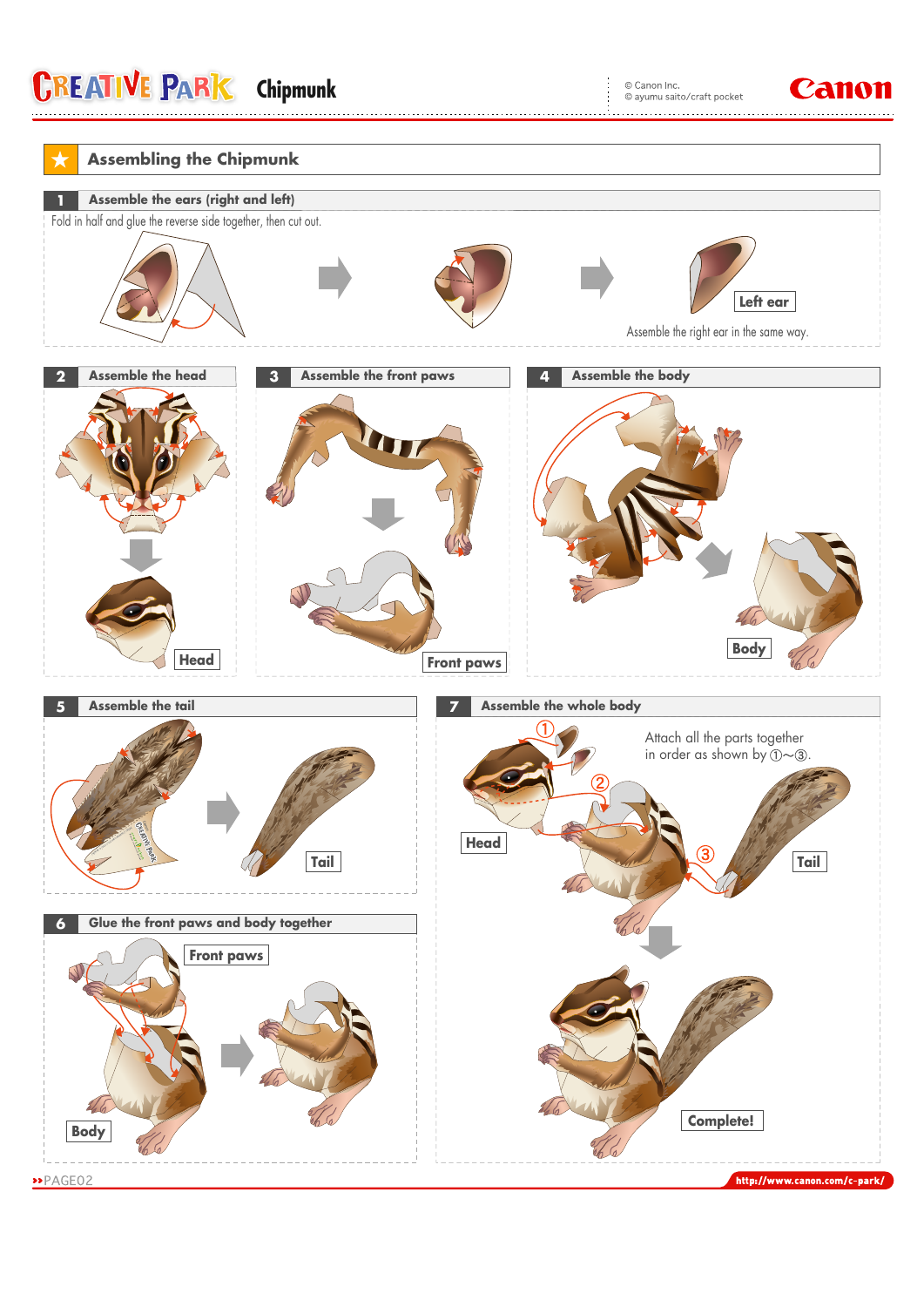# **CREATIVE PARK** Chipmunk **CAND** CONDITION CONDITIONS CONDITIONS CONDITIONS CONDITIONS CONDITIONS CONDITIONS CONDITIONS CONDITIONS CONDITIONS CONDITIONS CONDITIONS CONDITIONS CONDITIONS CONDITIONS CONDITIONS CONDITIONS COND

© Canon Inc.<br>© ayumu saito/craft pocket